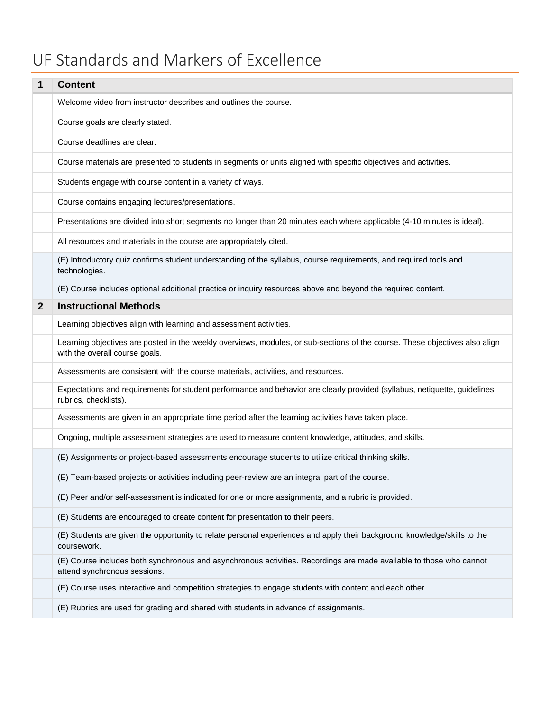## UF Standards and Markers of Excellence

| 1            | <b>Content</b>                                                                                                                                                |
|--------------|---------------------------------------------------------------------------------------------------------------------------------------------------------------|
|              | Welcome video from instructor describes and outlines the course.                                                                                              |
|              | Course goals are clearly stated.                                                                                                                              |
|              | Course deadlines are clear.                                                                                                                                   |
|              | Course materials are presented to students in segments or units aligned with specific objectives and activities.                                              |
|              | Students engage with course content in a variety of ways.                                                                                                     |
|              | Course contains engaging lectures/presentations.                                                                                                              |
|              | Presentations are divided into short segments no longer than 20 minutes each where applicable (4-10 minutes is ideal).                                        |
|              | All resources and materials in the course are appropriately cited.                                                                                            |
|              | (E) Introductory quiz confirms student understanding of the syllabus, course requirements, and required tools and<br>technologies.                            |
|              | (E) Course includes optional additional practice or inquiry resources above and beyond the required content.                                                  |
| $\mathbf{2}$ | <b>Instructional Methods</b>                                                                                                                                  |
|              | Learning objectives align with learning and assessment activities.                                                                                            |
|              | Learning objectives are posted in the weekly overviews, modules, or sub-sections of the course. These objectives also align<br>with the overall course goals. |
|              | Assessments are consistent with the course materials, activities, and resources.                                                                              |
|              | Expectations and requirements for student performance and behavior are clearly provided (syllabus, netiquette, guidelines,<br>rubrics, checklists).           |
|              | Assessments are given in an appropriate time period after the learning activities have taken place.                                                           |
|              | Ongoing, multiple assessment strategies are used to measure content knowledge, attitudes, and skills.                                                         |
|              | (E) Assignments or project-based assessments encourage students to utilize critical thinking skills.                                                          |
|              | (E) Team-based projects or activities including peer-review are an integral part of the course.                                                               |
|              | (E) Peer and/or self-assessment is indicated for one or more assignments, and a rubric is provided.                                                           |
|              | (E) Students are encouraged to create content for presentation to their peers.                                                                                |
|              | (E) Students are given the opportunity to relate personal experiences and apply their background knowledge/skills to the<br>coursework.                       |
|              | (E) Course includes both synchronous and asynchronous activities. Recordings are made available to those who cannot<br>attend synchronous sessions.           |
|              | (E) Course uses interactive and competition strategies to engage students with content and each other.                                                        |
|              | (E) Rubrics are used for grading and shared with students in advance of assignments.                                                                          |